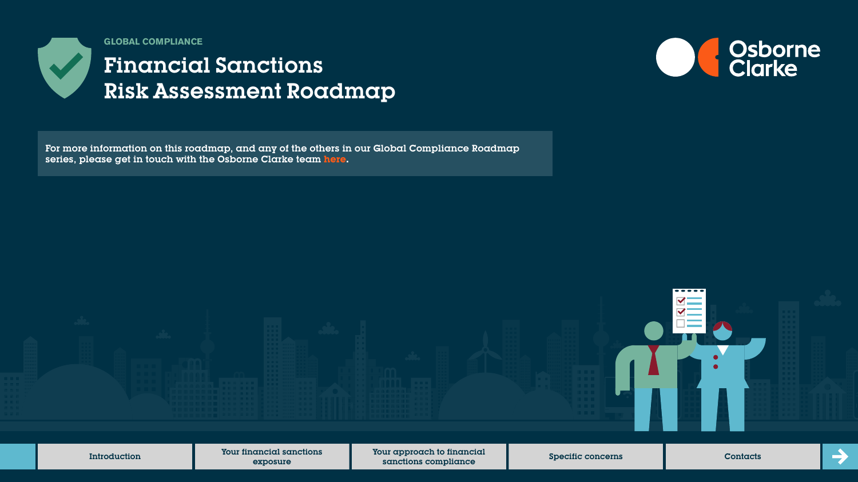

**GLOBAL COMPLIANCE**

# Financial Sanctions Risk Assessment Roadmap



For more information on this roadmap, and any of the others in our Global Compliance Roadmap series, please get in touch with the Osborne Clarke team **[here.](https://sites-osborneclarke.vuturevx.com/82/6426/pages/global-compliance-roadmaps.asp)**

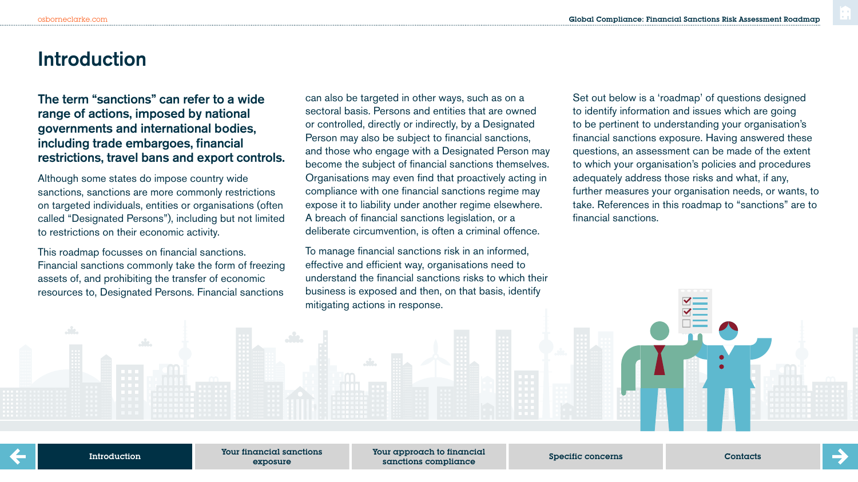## **Introduction**

## The term "sanctions" can refer to a wide range of actions, imposed by national governments and international bodies, including trade embargoes, financial restrictions, travel bans and export controls.

Although some states do impose country wide sanctions, sanctions are more commonly restrictions on targeted individuals, entities or organisations (often called "Designated Persons"), including but not limited to restrictions on their economic activity.

This roadmap focusses on financial sanctions. Financial sanctions commonly take the form of freezing assets of, and prohibiting the transfer of economic resources to, Designated Persons. Financial sanctions

can also be targeted in other ways, such as on a sectoral basis. Persons and entities that are owned or controlled, directly or indirectly, by a Designated Person may also be subject to financial sanctions, and those who engage with a Designated Person may become the subject of financial sanctions themselves. Organisations may even find that proactively acting in compliance with one financial sanctions regime may expose it to liability under another regime elsewhere. A breach of financial sanctions legislation, or a deliberate circumvention, is often a criminal offence.

To manage financial sanctions risk in an informed, effective and efficient way, organisations need to understand the financial sanctions risks to which their business is exposed and then, on that basis, identify mitigating actions in response.

Set out below is a 'roadmap' of questions designed to identify information and issues which are going to be pertinent to understanding your organisation's financial sanctions exposure. Having answered these questions, an assessment can be made of the extent to which your organisation's policies and procedures adequately address those risks and what, if any, further measures your organisation needs, or wants, to take. References in this roadmap to "sanctions" are to financial sanctions.

Introduction

Your financial sanctions exposure

Your approach to financial sanctions compliance and Specific concerns contacts contacts contacts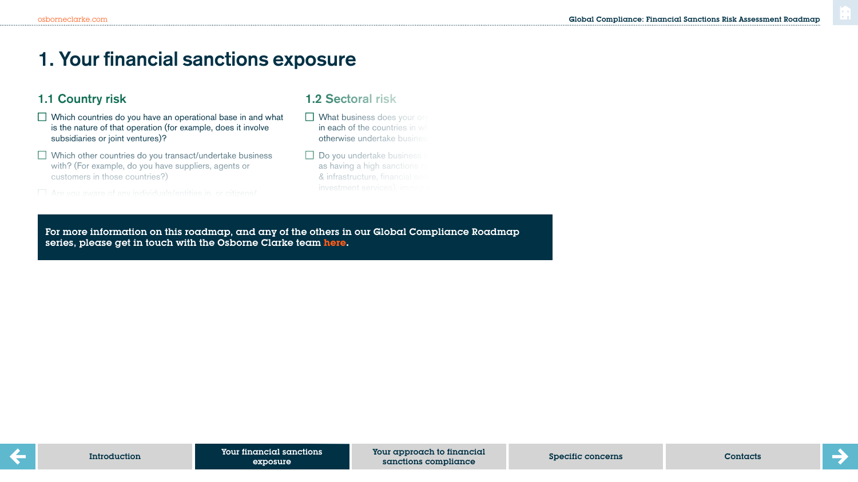## **1. Your financial sanctions exposure**

## 1.1 Country risk

 $\Box$  Which countries do you have an operational base in and what is the nature of that operation (for example, does it involve subsidiaries or joint ventures)?

 $\Box$  Which other countries do you transact/undertake business with? (For example, do you have suppliers, agents or customers in those countries?)

where it you results in your sector and are subject to sanctions  $\mathcal{L}_\mathcal{S}$ 

#### 1.2 Sectoral risk

 $\Box$  What business does your org in each of the countries in wh otherwise undertake busines

 $\Box$  Do you undertake business as having a high sanctions risk  $\&$  infrastructure, financial services

risk related to the sectors in which you operate?

For more information on this roadmap, and any of the others in our Global Compliance Roadmap series, please get in touch with the Osborne Clarke team [here.](https://sites-osborneclarke.vuturevx.com/82/6426/pages/global-compliance-roadmaps.asp)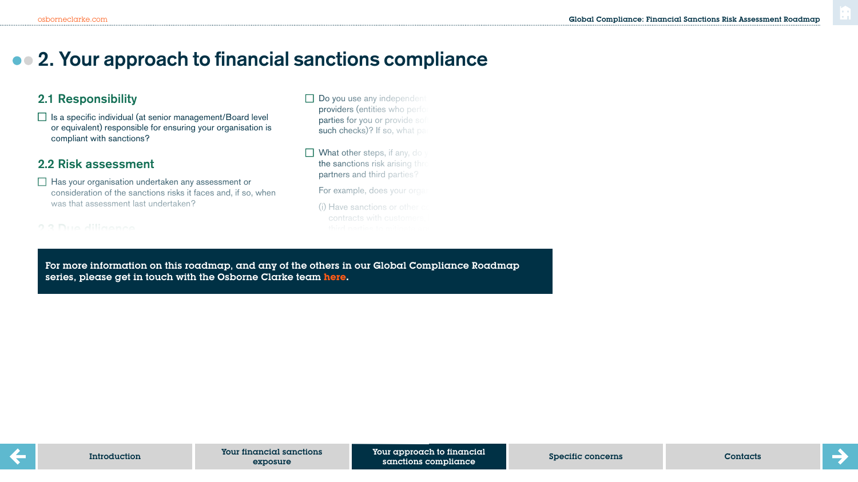## **2. Your approach to financial sanctions compliance**

## 2.1 Responsibility

 $\Box$  Is a specific individual (at senior management/Board level or equivalent) responsible for ensuring your organisation is compliant with sanctions?

## 2.2 Risk assessment

 $\Box$  Has your organisation undertaken any assessment or consideration of the sanctions risks it faces and, if so, when was that assessment last undertaken?

What processes do you have in place to undertake due

Does your due diligence on any prospective customer,

- Do you use any independent providers (entities who perform parties for you or provide software such checks)? If so, what pa
- $\Box$  What other steps, if any, do the sanctions risk arising through partners and third parties?

For example, does your organisation

 $(i)$  Have sanctions or other  $\alpha$ contracts with customer

dializence (sanctions specifically and/or more generally) on, where  $\alpha$ or more information on this roadmap, and any c series, please get in touch with the Osborne Clarke team <mark>here</mark>. For more information on this roadmap, and any of the others in our Global Compliance Roadmap

a supplier code of code of conductions  $\alpha$  right of audit, provide a right of audit, provide a right of audit, provide a right of audit, provide a right of audit, provide a right of audit, provide a right of audit, provi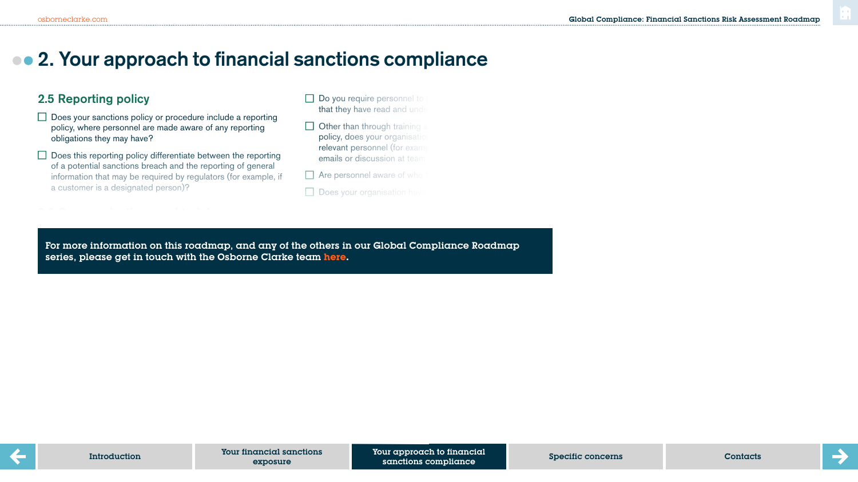## **2. Your approach to financial sanctions compliance**

#### 2.5 Reporting policy

- $\Box$  Does your sanctions policy or procedure include a reporting policy, where personnel are made aware of any reporting obligations they may have?
- $\Box$  Does this reporting policy differentiate between the reporting of a potential sanctions breach and the reporting of general information that may be required by regulators (for example, if a customer is a designated person)?

Does your organisation provide sanctions training to all

- $\Box$  Do you require personnel to that they have read and under
- $\Box$  Other than through training and the provision of an policy, does your organisation relevant personnel (for example emails or discussion at team
- $\Box$  Are personnel aware of who
- $\Box$  Does your organisation have

For more information on this roadmap, and any of the others in our Global Compliance Roadmap series, please get in touch with the Osborne Clarke team <mark>here</mark>.

 $\overline{\phantom{a}}$  . Does the training include a test?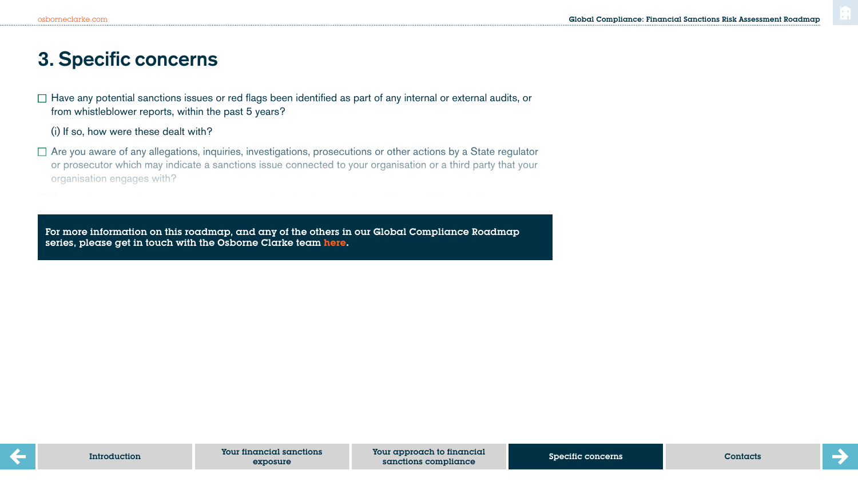## **3. Specific concerns**

 $\Box$  Have any potential sanctions issues or red flags been identified as part of any internal or external audits, or from whistleblower reports, within the past 5 years?

(i) If so, how were these dealt with?

potential sanctions issue or risk connected to your business?

 $\Box$  Are you aware of any allegations, inquiries, investigations, prosecutions or other actions by a State regulator or prosecutor which may indicate a sanctions issue connected to your organisation or a third party that your organisation engages with?

For more information on this roadmap, and any of the others in our Global Compliance Roadmap series, please get in touch with the Osborne Clarke team **[here.](https://sites-osborneclarke.vuturevx.com/82/6426/pages/global-compliance-roadmaps.asp)**